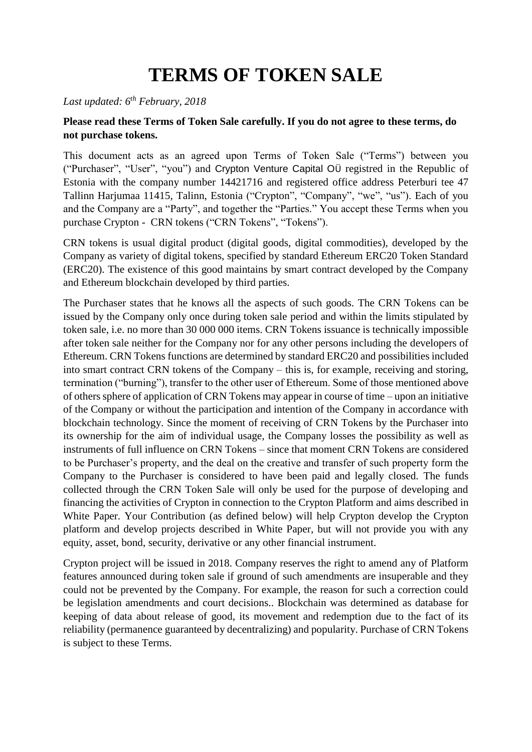# **TERMS OF TOKEN SALE**

#### *Last updated: 6th February, 2018*

#### **Please read these Terms of Token Sale carefully. If you do not agree to these terms, do not purchase tokens.**

This document acts as an agreed upon Terms of Token Sale ("Terms") between you ("Purchaser", "User", "you") and Crypton Venture Capital OÜ registred in the Republic of Estonia with the company number 14421716 and registered office address Peterburi tee 47 Tallinn Harjumaa 11415, Talinn, Estonia ("Crypton", "Company", "we", "us"). Each of you and the Company are a "Party", and together the "Parties." You accept these Terms when you purchase Crypton - CRN tokens ("CRN Tokens", "Tokens").

CRN tokens is usual digital product (digital goods, digital commodities), developed by the Company as variety of digital tokens, specified by standard Ethereum ERC20 Token Standard (ERC20). The existence of this good maintains by smart contract developed by the Company and Ethereum blockchain developed by third parties.

The Purchaser states that he knows all the aspects of such goods. The CRN Tokens can be issued by the Company only once during token sale period and within the limits stipulated by token sale, i.e. no more than 30 000 000 items. CRN Tokens issuance is technically impossible after token sale neither for the Company nor for any other persons including the developers of Ethereum. CRN Tokens functions are determined by standard ERC20 and possibilities included into smart contract CRN tokens of the Company – this is, for example, receiving and storing, termination ("burning"), transfer to the other user of Ethereum. Some of those mentioned above of others sphere of application of CRN Tokens may appear in course of time – upon an initiative of the Company or without the participation and intention of the Company in accordance with blockchain technology. Since the moment of receiving of CRN Tokens by the Purchaser into its ownership for the aim of individual usage, the Company losses the possibility as well as instruments of full influence on CRN Tokens – since that moment CRN Tokens are considered to be Purchaser's property, and the deal on the creative and transfer of such property form the Company to the Purchaser is considered to have been paid and legally closed. The funds collected through the CRN Token Sale will only be used for the purpose of developing and financing the activities of Crypton in connection to the Crypton Platform and aims described in White Paper. Your Contribution (as defined below) will help Crypton develop the Crypton platform and develop projects described in White Paper, but will not provide you with any equity, asset, bond, security, derivative or any other financial instrument.

Crypton project will be issued in 2018. Company reserves the right to amend any of Platform features announced during token sale if ground of such amendments are insuperable and they could not be prevented by the Company. For example, the reason for such a correction could be legislation amendments and court decisions.. Blockchain was determined as database for keeping of data about release of good, its movement and redemption due to the fact of its reliability (permanence guaranteed by decentralizing) and popularity. Purchase of CRN Tokens is subject to these Terms.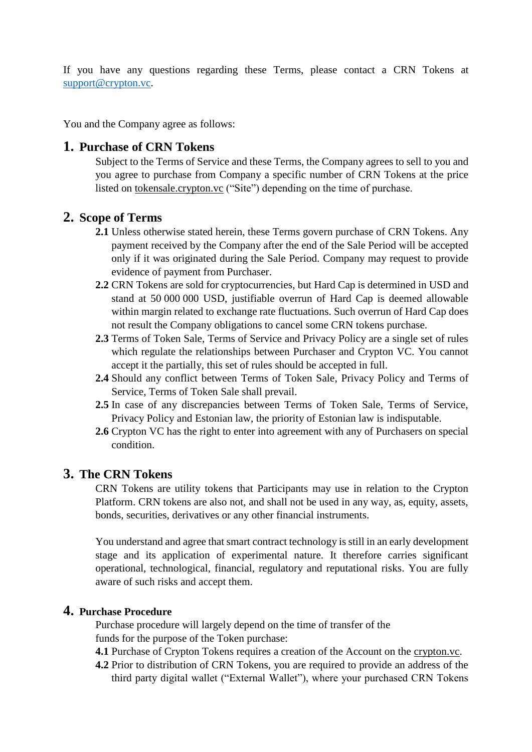If you have any questions regarding these Terms, please contact a CRN Tokens at [support@crypton.vc.](mailto:support@crypton.vc)

You and the Company agree as follows:

## **1. Purchase of CRN Tokens**

Subject to the Terms of Service and these Terms, the Company agrees to sell to you and you agree to purchase from Company a specific number of CRN Tokens at the price listed on tokensale.crypton.vc ("Site") depending on the time of purchase.

## **2. Scope of Terms**

- **2.1** Unless otherwise stated herein, these Terms govern purchase of CRN Tokens. Any payment received by the Company after the end of the Sale Period will be accepted only if it was originated during the Sale Period. Company may request to provide evidence of payment from Purchaser.
- **2.2** CRN Tokens are sold for cryptocurrencies, but Hard Cap is determined in USD and stand at 50 000 000 USD, justifiable overrun of Hard Cap is deemed allowable within margin related to exchange rate fluctuations. Such overrun of Hard Cap does not result the Company obligations to cancel some CRN tokens purchase.
- **2.3** Terms of Token Sale, Terms of Service and Privacy Policy are a single set of rules which regulate the relationships between Purchaser and Crypton VC. You cannot accept it the partially, this set of rules should be accepted in full.
- **2.4** Should any conflict between Terms of Token Sale, Privacy Policy and Terms of Service, Terms of Token Sale shall prevail.
- **2.5** In case of any discrepancies between Terms of Token Sale, Terms of Service, Privacy Policy and Estonian law, the priority of Estonian law is indisputable.
- **2.6** Crypton VC has the right to enter into agreement with any of Purchasers on special condition.

#### **3. The CRN Tokens**

CRN Tokens are utility tokens that Participants may use in relation to the Crypton Platform. CRN tokens are also not, and shall not be used in any way, as, equity, assets, bonds, securities, derivatives or any other financial instruments.

You understand and agree that smart contract technology is still in an early development stage and its application of experimental nature. It therefore carries significant operational, technological, financial, regulatory and reputational risks. You are fully aware of such risks and accept them.

#### **4. Purchase Procedure**

Purchase procedure will largely depend on the time of transfer of the funds for the purpose of the Token purchase:

- **4.1** Purchase of Crypton Tokens requires a creation of the Account on the crypton.vc.
- **4.2** Prior to distribution of CRN Tokens, you are required to provide an address of the third party digital wallet ("External Wallet"), where your purchased CRN Tokens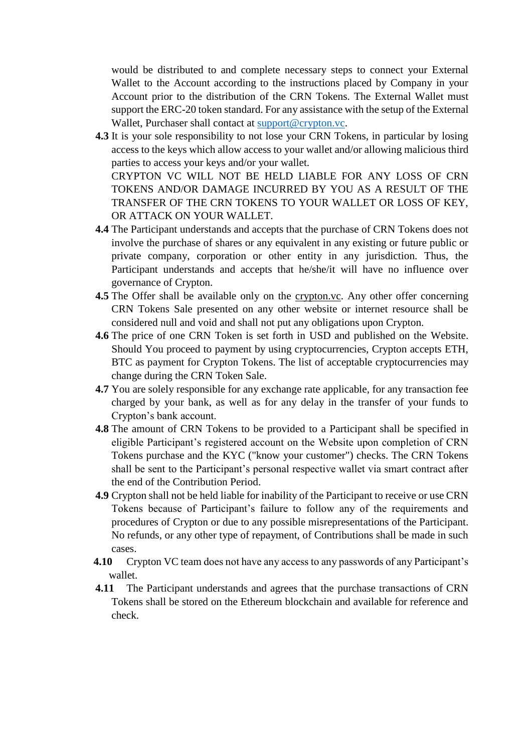would be distributed to and complete necessary steps to connect your External Wallet to the Account according to the instructions placed by Company in your Account prior to the distribution of the CRN Tokens. The External Wallet must support the ERC-20 token standard. For any assistance with the setup of the External Wallet, Purchaser shall contact at [support@crypton.vc.](mailto:support@crypton.vc)

- **4.3** It is your sole responsibility to not lose your CRN Tokens, in particular by losing access to the keys which allow access to your wallet and/or allowing malicious third parties to access your keys and/or your wallet. CRYPTON VC WILL NOT BE HELD LIABLE FOR ANY LOSS OF CRN TOKENS AND/OR DAMAGE INCURRED BY YOU AS A RESULT OF THE TRANSFER OF THE CRN TOKENS TO YOUR WALLET OR LOSS OF KEY, OR ATTACK ON YOUR WALLET.
- **4.4** The Participant understands and accepts that the purchase of CRN Tokens does not involve the purchase of shares or any equivalent in any existing or future public or private company, corporation or other entity in any jurisdiction. Thus, the Participant understands and accepts that he/she/it will have no influence over governance of Crypton.
- **4.5** The Offer shall be available only on the crypton.vc. Any other offer concerning CRN Tokens Sale presented on any other website or internet resource shall be considered null and void and shall not put any obligations upon Crypton.
- **4.6** The price of one CRN Token is set forth in USD and published on the Website. Should You proceed to payment by using cryptocurrencies, Crypton accepts ETH, BTC as payment for Crypton Tokens. The list of acceptable cryptocurrencies may change during the CRN Token Sale.
- **4.7** You are solely responsible for any exchange rate applicable, for any transaction fee charged by your bank, as well as for any delay in the transfer of your funds to Crypton's bank account.
- **4.8** The amount of CRN Tokens to be provided to a Participant shall be specified in eligible Participant's registered account on the Website upon completion of CRN Tokens purchase and the KYC ("know your customer") checks. The CRN Tokens shall be sent to the Participant's personal respective wallet via smart contract after the end of the Contribution Period.
- **4.9** Crypton shall not be held liable for inability of the Participant to receive or use CRN Tokens because of Participant's failure to follow any of the requirements and procedures of Crypton or due to any possible misrepresentations of the Participant. No refunds, or any other type of repayment, of Contributions shall be made in such cases.
- **4.10** Crypton VC team does not have any access to any passwords of any Participant's wallet.
- **4.11** The Participant understands and agrees that the purchase transactions of CRN Tokens shall be stored on the Ethereum blockchain and available for reference and check.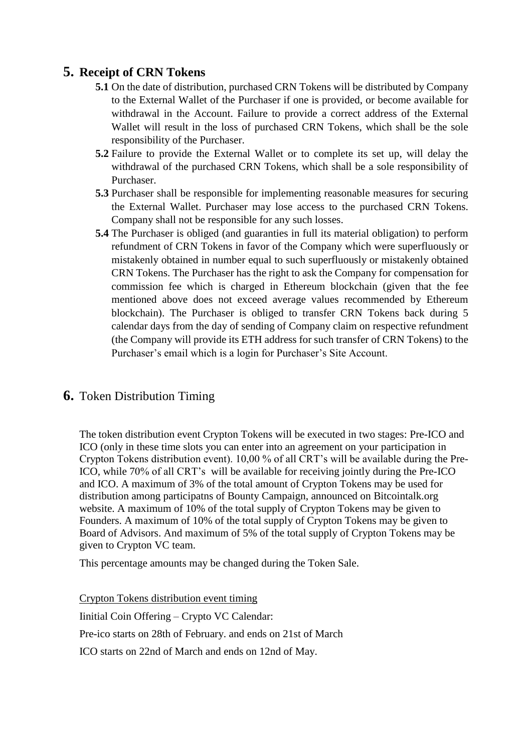# **5. Receipt of CRN Tokens**

- **5.1** On the date of distribution, purchased CRN Tokens will be distributed by Company to the External Wallet of the Purchaser if one is provided, or become available for withdrawal in the Account. Failure to provide a correct address of the External Wallet will result in the loss of purchased CRN Tokens, which shall be the sole responsibility of the Purchaser.
- **5.2** Failure to provide the External Wallet or to complete its set up, will delay the withdrawal of the purchased CRN Tokens, which shall be a sole responsibility of Purchaser.
- **5.3** Purchaser shall be responsible for implementing reasonable measures for securing the External Wallet. Purchaser may lose access to the purchased CRN Tokens. Company shall not be responsible for any such losses.
- **5.4** The Purchaser is obliged (and guaranties in full its material obligation) to perform refundment of CRN Tokens in favor of the Company which were superfluously or mistakenly obtained in number equal to such superfluously or mistakenly obtained CRN Tokens. The Purchaser has the right to ask the Company for compensation for commission fee which is charged in Ethereum blockchain (given that the fee mentioned above does not exceed average values recommended by Ethereum blockchain). The Purchaser is obliged to transfer CRN Tokens back during 5 calendar days from the day of sending of Company claim on respective refundment (the Company will provide its ETH address for such transfer of CRN Tokens) to the Purchaser's email which is a login for Purchaser's Site Account.

# **6.** Token Distribution Timing

The token distribution event Crypton Tokens will be executed in two stages: Pre-ICO and ICO (only in these time slots you can enter into an agreement on your participation in Crypton Tokens distribution event). 10,00 % of all CRT's will be available during the Pre-ICO, while 70% of all CRT's will be available for receiving jointly during the Pre-ICO and ICO. A maximum of 3% of the total amount of Crypton Tokens may be used for distribution among participatns of Bounty Campaign, announced on Bitcointalk.org website. A maximum of 10% of the total supply of Crypton Tokens may be given to Founders. A maximum of 10% of the total supply of Crypton Tokens may be given to Board of Advisors. And maximum of 5% of the total supply of Crypton Tokens may be given to Crypton VC team.

This percentage amounts may be changed during the Token Sale.

Crypton Tokens distribution event timing

Iinitial Coin Offering – Crypto VC Calendar:

Pre-ico starts on 28th of February. and ends on 21st of March

ICO starts on 22nd of March and ends on 12nd of May.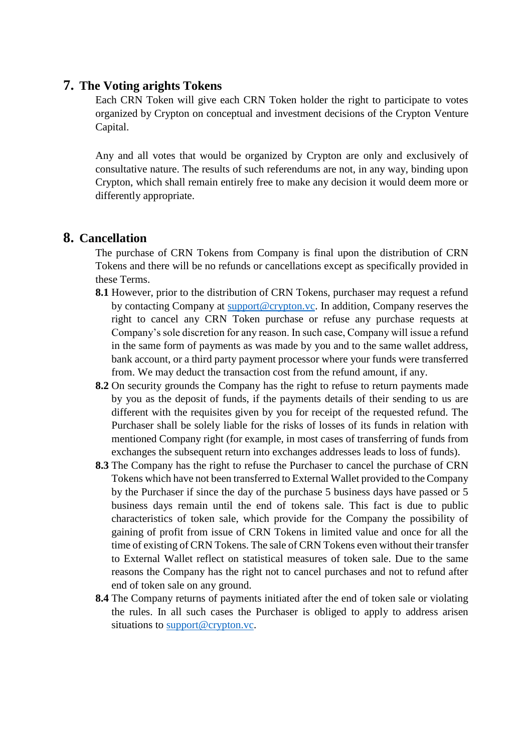#### **7. The Voting arights Tokens**

Each CRN Token will give each CRN Token holder the right to participate to votes organized by Crypton on conceptual and investment decisions of the Crypton Venture Capital.

Any and all votes that would be organized by Crypton are only and exclusively of consultative nature. The results of such referendums are not, in any way, binding upon Crypton, which shall remain entirely free to make any decision it would deem more or differently appropriate.

#### **8. Cancellation**

The purchase of CRN Tokens from Company is final upon the distribution of CRN Tokens and there will be no refunds or cancellations except as specifically provided in these Terms.

- **8.1** However, prior to the distribution of CRN Tokens, purchaser may request a refund by contacting Company at [support@crypton.vc.](mailto:support@crypton.vc) In addition, Company reserves the right to cancel any CRN Token purchase or refuse any purchase requests at Company's sole discretion for any reason. In such case, Company will issue a refund in the same form of payments as was made by you and to the same wallet address, bank account, or a third party payment processor where your funds were transferred from. We may deduct the transaction cost from the refund amount, if any.
- **8.2** On security grounds the Company has the right to refuse to return payments made by you as the deposit of funds, if the payments details of their sending to us are different with the requisites given by you for receipt of the requested refund. The Purchaser shall be solely liable for the risks of losses of its funds in relation with mentioned Company right (for example, in most cases of transferring of funds from exchanges the subsequent return into exchanges addresses leads to loss of funds).
- **8.3** The Company has the right to refuse the Purchaser to cancel the purchase of CRN Tokens which have not been transferred to External Wallet provided to the Company by the Purchaser if since the day of the purchase 5 business days have passed or 5 business days remain until the end of tokens sale. This fact is due to public characteristics of token sale, which provide for the Company the possibility of gaining of profit from issue of CRN Tokens in limited value and once for all the time of existing of CRN Tokens. The sale of CRN Tokens even without their transfer to External Wallet reflect on statistical measures of token sale. Due to the same reasons the Company has the right not to cancel purchases and not to refund after end of token sale on any ground.
- **8.4** The Company returns of payments initiated after the end of token sale or violating the rules. In all such cases the Purchaser is obliged to apply to address arisen situations to [support@crypton.vc.](mailto:support@crypton.vc)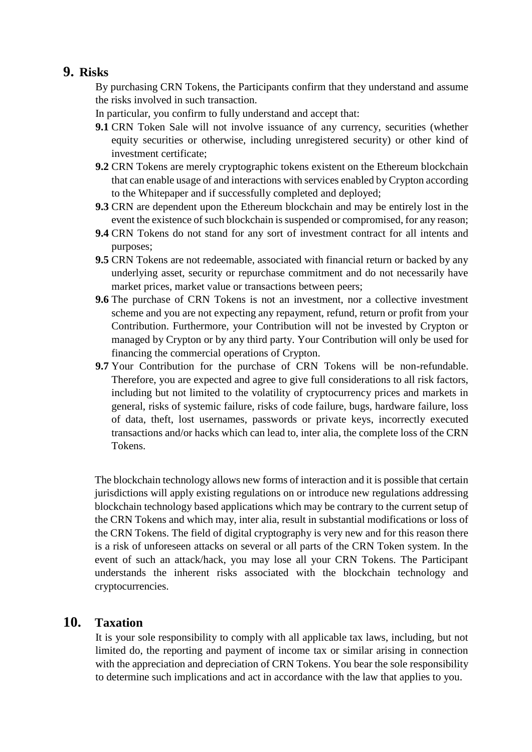# **9. Risks**

By purchasing CRN Tokens, the Participants confirm that they understand and assume the risks involved in such transaction.

In particular, you confirm to fully understand and accept that:

- **9.1** CRN Token Sale will not involve issuance of any currency, securities (whether equity securities or otherwise, including unregistered security) or other kind of investment certificate;
- **9.2** CRN Tokens are merely cryptographic tokens existent on the Ethereum blockchain that can enable usage of and interactions with services enabled by Crypton according to the Whitepaper and if successfully completed and deployed;
- **9.3** CRN are dependent upon the Ethereum blockchain and may be entirely lost in the event the existence of such blockchain is suspended or compromised, for any reason;
- **9.4** CRN Tokens do not stand for any sort of investment contract for all intents and purposes;
- **9.5** CRN Tokens are not redeemable, associated with financial return or backed by any underlying asset, security or repurchase commitment and do not necessarily have market prices, market value or transactions between peers;
- **9.6** The purchase of CRN Tokens is not an investment, nor a collective investment scheme and you are not expecting any repayment, refund, return or profit from your Contribution. Furthermore, your Contribution will not be invested by Crypton or managed by Crypton or by any third party. Your Contribution will only be used for financing the commercial operations of Crypton.
- **9.7** Your Contribution for the purchase of CRN Tokens will be non-refundable. Therefore, you are expected and agree to give full considerations to all risk factors, including but not limited to the volatility of cryptocurrency prices and markets in general, risks of systemic failure, risks of code failure, bugs, hardware failure, loss of data, theft, lost usernames, passwords or private keys, incorrectly executed transactions and/or hacks which can lead to, inter alia, the complete loss of the CRN Tokens.

The blockchain technology allows new forms of interaction and it is possible that certain jurisdictions will apply existing regulations on or introduce new regulations addressing blockchain technology based applications which may be contrary to the current setup of the CRN Tokens and which may, inter alia, result in substantial modifications or loss of the CRN Tokens. The field of digital cryptography is very new and for this reason there is a risk of unforeseen attacks on several or all parts of the CRN Token system. In the event of such an attack/hack, you may lose all your CRN Tokens. The Participant understands the inherent risks associated with the blockchain technology and cryptocurrencies.

# **10. Taxation**

It is your sole responsibility to comply with all applicable tax laws, including, but not limited do, the reporting and payment of income tax or similar arising in connection with the appreciation and depreciation of CRN Tokens. You bear the sole responsibility to determine such implications and act in accordance with the law that applies to you.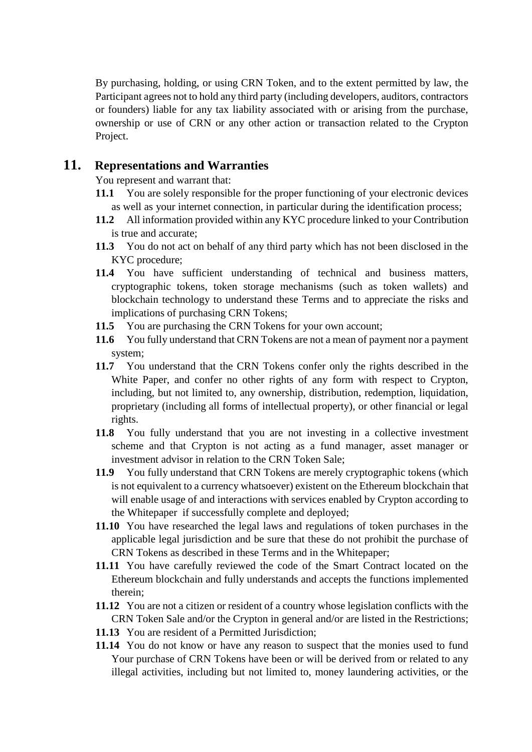By purchasing, holding, or using CRN Token, and to the extent permitted by law, the Participant agrees not to hold any third party (including developers, auditors, contractors or founders) liable for any tax liability associated with or arising from the purchase, ownership or use of CRN or any other action or transaction related to the Crypton Project.

## **11. Representations and Warranties**

You represent and warrant that:

- **11.1** You are solely responsible for the proper functioning of your electronic devices as well as your internet connection, in particular during the identification process;
- **11.2** All information provided within any KYC procedure linked to your Contribution is true and accurate;
- **11.3** You do not act on behalf of any third party which has not been disclosed in the KYC procedure;
- **11.4** You have sufficient understanding of technical and business matters, cryptographic tokens, token storage mechanisms (such as token wallets) and blockchain technology to understand these Terms and to appreciate the risks and implications of purchasing CRN Tokens;
- **11.5** You are purchasing the CRN Tokens for your own account;
- **11.6** You fully understand that CRN Tokens are not a mean of payment nor a payment system;
- **11.7** You understand that the CRN Tokens confer only the rights described in the White Paper, and confer no other rights of any form with respect to Crypton, including, but not limited to, any ownership, distribution, redemption, liquidation, proprietary (including all forms of intellectual property), or other financial or legal rights.
- **11.8** You fully understand that you are not investing in a collective investment scheme and that Crypton is not acting as a fund manager, asset manager or investment advisor in relation to the CRN Token Sale;
- **11.9** You fully understand that CRN Tokens are merely cryptographic tokens (which is not equivalent to a currency whatsoever) existent on the Ethereum blockchain that will enable usage of and interactions with services enabled by Crypton according to the Whitepaper if successfully complete and deployed;
- **11.10** You have researched the legal laws and regulations of token purchases in the applicable legal jurisdiction and be sure that these do not prohibit the purchase of CRN Tokens as described in these Terms and in the Whitepaper;
- **11.11** You have carefully reviewed the code of the Smart Contract located on the Ethereum blockchain and fully understands and accepts the functions implemented therein;
- **11.12** You are not a citizen or resident of a country whose legislation conflicts with the CRN Token Sale and/or the Crypton in general and/or are listed in the Restrictions;
- **11.13** You are resident of a Permitted Jurisdiction;
- **11.14** You do not know or have any reason to suspect that the monies used to fund Your purchase of CRN Tokens have been or will be derived from or related to any illegal activities, including but not limited to, money laundering activities, or the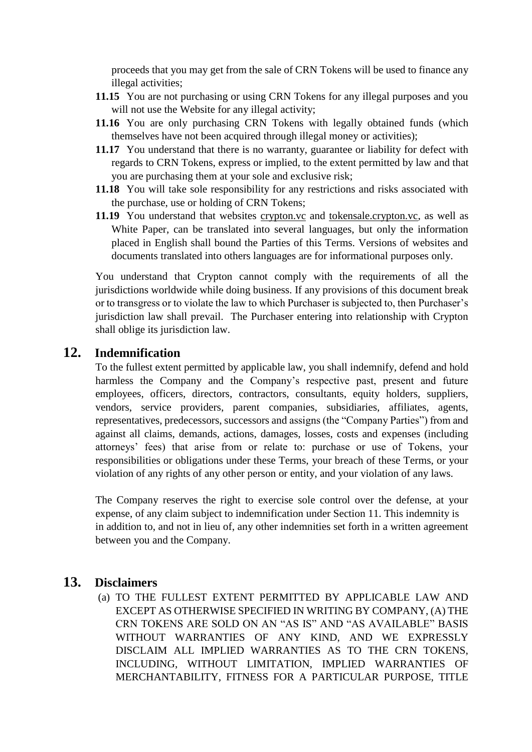proceeds that you may get from the sale of CRN Tokens will be used to finance any illegal activities;

- **11.15** You are not purchasing or using CRN Tokens for any illegal purposes and you will not use the Website for any illegal activity;
- **11.16** You are only purchasing CRN Tokens with legally obtained funds (which themselves have not been acquired through illegal money or activities);
- **11.17** You understand that there is no warranty, guarantee or liability for defect with regards to CRN Tokens, express or implied, to the extent permitted by law and that you are purchasing them at your sole and exclusive risk;
- **11.18** You will take sole responsibility for any restrictions and risks associated with the purchase, use or holding of CRN Tokens;
- **11.19** You understand that websites crypton.vc and tokensale.crypton.vc, as well as White Paper, can be translated into several languages, but only the information placed in English shall bound the Parties of this Terms. Versions of websites and documents translated into others languages are for informational purposes only.

You understand that Crypton cannot comply with the requirements of all the jurisdictions worldwide while doing business. If any provisions of this document break or to transgress or to violate the law to which Purchaser is subjected to, then Purchaser's jurisdiction law shall prevail. The Purchaser entering into relationship with Crypton shall oblige its jurisdiction law.

# **12. Indemnification**

To the fullest extent permitted by applicable law, you shall indemnify, defend and hold harmless the Company and the Company's respective past, present and future employees, officers, directors, contractors, consultants, equity holders, suppliers, vendors, service providers, parent companies, subsidiaries, affiliates, agents, representatives, predecessors, successors and assigns (the "Company Parties") from and against all claims, demands, actions, damages, losses, costs and expenses (including attorneys' fees) that arise from or relate to: purchase or use of Tokens, your responsibilities or obligations under these Terms, your breach of these Terms, or your violation of any rights of any other person or entity, and your violation of any laws.

The Company reserves the right to exercise sole control over the defense, at your expense, of any claim subject to indemnification under Section 11. This indemnity is in addition to, and not in lieu of, any other indemnities set forth in a written agreement between you and the Company.

# **13. Disclaimers**

(a) TO THE FULLEST EXTENT PERMITTED BY APPLICABLE LAW AND EXCEPT AS OTHERWISE SPECIFIED IN WRITING BY COMPANY, (A) THE CRN TOKENS ARE SOLD ON AN "AS IS" AND "AS AVAILABLE" BASIS WITHOUT WARRANTIES OF ANY KIND, AND WE EXPRESSLY DISCLAIM ALL IMPLIED WARRANTIES AS TO THE CRN TOKENS, INCLUDING, WITHOUT LIMITATION, IMPLIED WARRANTIES OF MERCHANTABILITY, FITNESS FOR A PARTICULAR PURPOSE, TITLE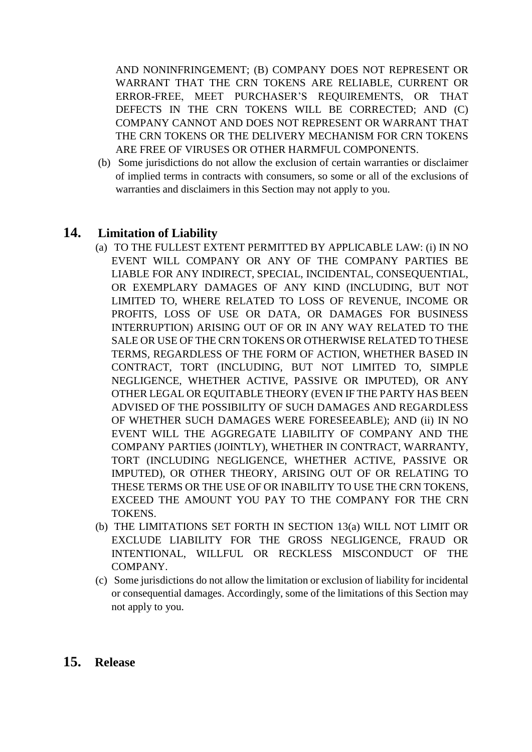AND NONINFRINGEMENT; (B) COMPANY DOES NOT REPRESENT OR WARRANT THAT THE CRN TOKENS ARE RELIABLE, CURRENT OR ERROR-FREE, MEET PURCHASER'S REQUIREMENTS, OR THAT DEFECTS IN THE CRN TOKENS WILL BE CORRECTED; AND (C) COMPANY CANNOT AND DOES NOT REPRESENT OR WARRANT THAT THE CRN TOKENS OR THE DELIVERY MECHANISM FOR CRN TOKENS ARE FREE OF VIRUSES OR OTHER HARMFUL COMPONENTS.

(b) Some jurisdictions do not allow the exclusion of certain warranties or disclaimer of implied terms in contracts with consumers, so some or all of the exclusions of warranties and disclaimers in this Section may not apply to you.

# **14. Limitation of Liability**

- (a) TO THE FULLEST EXTENT PERMITTED BY APPLICABLE LAW: (i) IN NO EVENT WILL COMPANY OR ANY OF THE COMPANY PARTIES BE LIABLE FOR ANY INDIRECT, SPECIAL, INCIDENTAL, CONSEQUENTIAL, OR EXEMPLARY DAMAGES OF ANY KIND (INCLUDING, BUT NOT LIMITED TO, WHERE RELATED TO LOSS OF REVENUE, INCOME OR PROFITS, LOSS OF USE OR DATA, OR DAMAGES FOR BUSINESS INTERRUPTION) ARISING OUT OF OR IN ANY WAY RELATED TO THE SALE OR USE OF THE CRN TOKENS OR OTHERWISE RELATED TO THESE TERMS, REGARDLESS OF THE FORM OF ACTION, WHETHER BASED IN CONTRACT, TORT (INCLUDING, BUT NOT LIMITED TO, SIMPLE NEGLIGENCE, WHETHER ACTIVE, PASSIVE OR IMPUTED), OR ANY OTHER LEGAL OR EQUITABLE THEORY (EVEN IF THE PARTY HAS BEEN ADVISED OF THE POSSIBILITY OF SUCH DAMAGES AND REGARDLESS OF WHETHER SUCH DAMAGES WERE FORESEEABLE); AND (ii) IN NO EVENT WILL THE AGGREGATE LIABILITY OF COMPANY AND THE COMPANY PARTIES (JOINTLY), WHETHER IN CONTRACT, WARRANTY, TORT (INCLUDING NEGLIGENCE, WHETHER ACTIVE, PASSIVE OR IMPUTED), OR OTHER THEORY, ARISING OUT OF OR RELATING TO THESE TERMS OR THE USE OF OR INABILITY TO USE THE CRN TOKENS, EXCEED THE AMOUNT YOU PAY TO THE COMPANY FOR THE CRN TOKENS.
- (b) THE LIMITATIONS SET FORTH IN SECTION 13(a) WILL NOT LIMIT OR EXCLUDE LIABILITY FOR THE GROSS NEGLIGENCE, FRAUD OR INTENTIONAL, WILLFUL OR RECKLESS MISCONDUCT OF THE COMPANY.
- (c) Some jurisdictions do not allow the limitation or exclusion of liability for incidental or consequential damages. Accordingly, some of the limitations of this Section may not apply to you.
- **15. Release**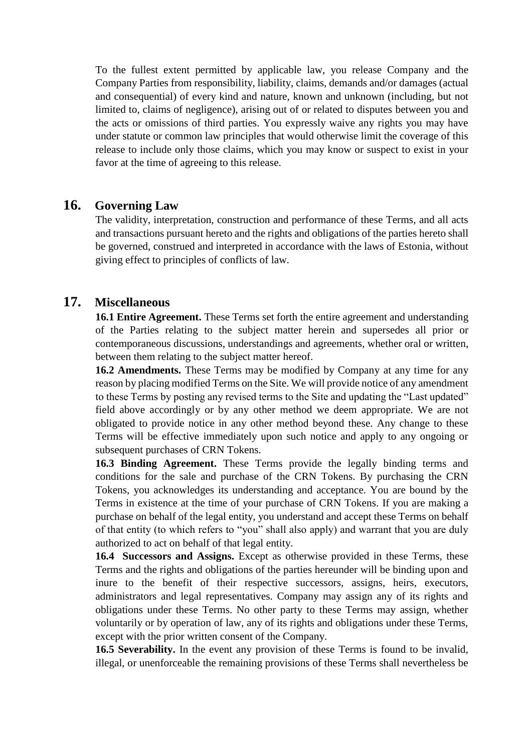To the fullest extent permitted by applicable law, you release Company and the Company Parties from responsibility, liability, claims, demands and/or damages (actual and consequential) of every kind and nature, known and unknown (including, but not limited to, claims of negligence), arising out of or related to disputes between you and the acts or omissions of third parties. You expressly waive any rights you may have under statute or common law principles that would otherwise limit the coverage of this release to include only those claims, which you may know or suspect to exist in your favor at the time of agreeing to this release.

# **16. Governing Law**

The validity, interpretation, construction and performance of these Terms, and all acts and transactions pursuant hereto and the rights and obligations of the parties hereto shall be governed, construed and interpreted in accordance with the laws of Estonia, without giving effect to principles of conflicts of law.

## **17. Miscellaneous**

**16.1 Entire Agreement.** These Terms set forth the entire agreement and understanding of the Parties relating to the subject matter herein and supersedes all prior or contemporaneous discussions, understandings and agreements, whether oral or written, between them relating to the subject matter hereof.

**16.2 Amendments.** These Terms may be modified by Company at any time for any reason by placing modified Terms on the Site. We will provide notice of any amendment to these Terms by posting any revised terms to the Site and updating the "Last updated" field above accordingly or by any other method we deem appropriate. We are not obligated to provide notice in any other method beyond these. Any change to these Terms will be effective immediately upon such notice and apply to any ongoing or subsequent purchases of CRN Tokens.

**16.3 Binding Agreement.** These Terms provide the legally binding terms and conditions for the sale and purchase of the CRN Tokens. By purchasing the CRN Tokens, you acknowledges its understanding and acceptance. You are bound by the Terms in existence at the time of your purchase of CRN Tokens. If you are making a purchase on behalf of the legal entity, you understand and accept these Terms on behalf of that entity (to which refers to "you" shall also apply) and warrant that you are duly authorized to act on behalf of that legal entity.

**16.4 Successors and Assigns.** Except as otherwise provided in these Terms, these Terms and the rights and obligations of the parties hereunder will be binding upon and inure to the benefit of their respective successors, assigns, heirs, executors, administrators and legal representatives. Company may assign any of its rights and obligations under these Terms. No other party to these Terms may assign, whether voluntarily or by operation of law, any of its rights and obligations under these Terms, except with the prior written consent of the Company.

**16.5 Severability.** In the event any provision of these Terms is found to be invalid, illegal, or unenforceable the remaining provisions of these Terms shall nevertheless be